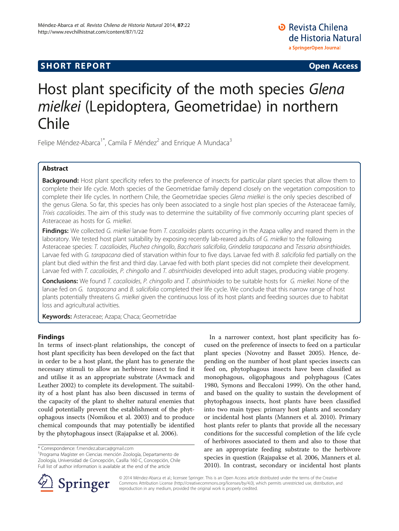## **SHORT REPORT SHORT CONSUMING THE CONSUMING THE CONSUMING THE CONSUMING THE CONSUMING THE CONSUMING THE CONSUMING THE CONSUMING THE CONSUMING THE CONSUMING THE CONSUMING THE CONSUMING THE CONSUMING THE CONSUMING THE CO**

**D** Revista Chilena de Historia Natural a SpringerOpen Journal

# Host plant specificity of the moth species Glena mielkei (Lepidoptera, Geometridae) in northern Chile

Felipe Méndez-Abarca<sup>1\*</sup>, Camila F Méndez<sup>2</sup> and Enrique A Mundaca<sup>3</sup>

## Abstract

Background: Host plant specificity refers to the preference of insects for particular plant species that allow them to complete their life cycle. Moth species of the Geometridae family depend closely on the vegetation composition to complete their life cycles. In northern Chile, the Geometridae species Glena mielkei is the only species described of the genus Glena. So far, this species has only been associated to a single host plan species of the Asteraceae family, Trixis cacalioides. The aim of this study was to determine the suitability of five commonly occurring plant species of Asteraceae as hosts for G. mielkei.

Findings: We collected G. mielkei larvae from T. cacalioides plants occurring in the Azapa valley and reared them in the laboratory. We tested host plant suitability by exposing recently lab-reared adults of G. mielkei to the following Asteraceae species: T. cacalioides, Pluchea chingollo, Baccharis salicifolia, Grindelia tarapacana and Tessaria absinthioides. Larvae fed with G. tarapacana died of starvation within four to five days. Larvae fed with B. salicifolia fed partially on the plant but died within the first and third day. Larvae fed with both plant species did not complete their development. Larvae fed with T. cacalioides, P. chingollo and T. absinthioides developed into adult stages, producing viable progeny.

Conclusions: We found T. cacalioides, P. chingollo and T. absinthioides to be suitable hosts for G. mielkei. None of the larvae fed on G. tarapacana and B. salicifolia completed their life cycle. We conclude that this narrow range of host plants potentially threatens G. mielkei given the continuous loss of its host plants and feeding sources due to habitat loss and agricultural activities.

Keywords: Asteraceae; Azapa; Chaca; Geometridae

## Findings

In terms of insect-plant relationships, the concept of host plant specificity has been developed on the fact that in order to be a host plant, the plant has to generate the necessary stimuli to allow an herbivore insect to find it and utilise it as an appropriate substrate (Awmack and Leather [2002](#page-2-0)) to complete its development. The suitability of a host plant has also been discussed in terms of the capacity of the plant to shelter natural enemies that could potentially prevent the establishment of the phytophagous insects (Nomikou et al. [2003\)](#page-2-0) and to produce chemical compounds that may potentially be identified by the phytophagous insect (Rajapakse et al. [2006](#page-2-0)).

<sup>1</sup> Programa Magíster en Ciencias mención Zoología, Departamento de Zoología, Universidad de Concepción, Casilla 160 C, Concepción, Chile Full list of author information is available at the end of the article

In a narrower context, host plant specificity has focused on the preference of insects to feed on a particular plant species (Novotny and Basset [2005\)](#page-2-0). Hence, depending on the number of host plant species insects can feed on, phytophagous insects have been classified as monophagous, oligophagous and polyphagous (Cates [1980](#page-2-0), Symons and Beccaloni [1999\)](#page-3-0). On the other hand, and based on the quality to sustain the development of phytophagous insects, host plants have been classified into two main types: primary host plants and secondary or incidental host plants (Manners et al. [2010](#page-2-0)). Primary host plants refer to plants that provide all the necessary conditions for the successful completion of the life cycle of herbivores associated to them and also to those that are an appropriate feeding substrate to the herbivore species in question (Rajapakse et al. [2006](#page-2-0), Manners et al. [2010](#page-2-0)). In contrast, secondary or incidental host plants



© 2014 Méndez-Abarca et al.; licensee Springer. This is an Open Access article distributed under the terms of the Creative Commons Attribution License (<http://creativecommons.org/licenses/by/4.0>), which permits unrestricted use, distribution, and reproduction in any medium, provided the original work is properly credited.

<sup>\*</sup> Correspondence: [f.mendez.abarca@gmail.com](mailto:f.mendez.abarca@gmail.com) <sup>1</sup>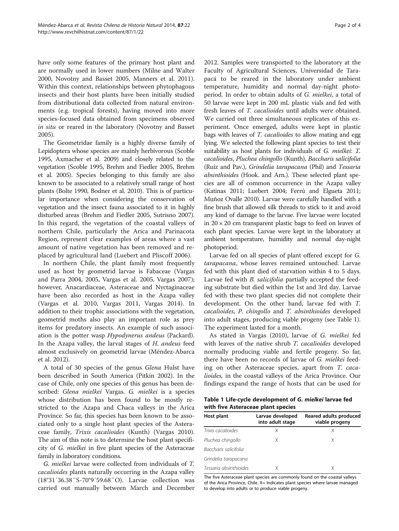have only some features of the primary host plant and are normally used in lower numbers (Milne and Walter [2000](#page-2-0), Novotny and Basset 2005, Manners et al. [2011](#page-2-0)). Within this context, relationships between phytophagous insects and their host plants have been initially studied from distributional data collected from natural environments (e.g. tropical forests), having moved into more species-focused data obtained from specimens observed in situ or reared in the laboratory (Novotny and Basset [2005](#page-2-0)).

The Geometridae family is a highly diverse family of Lepidoptera whose species are mainly herbivorous (Scoble [1995,](#page-2-0) Axmacher et al. [2009](#page-2-0)) and closely related to the vegetation (Scoble [1995](#page-2-0), Brehm and Fiedler [2005,](#page-2-0) Brehm et al. [2005](#page-2-0)). Species belonging to this family are also known to be associated to a relatively small range of host plants (Bolte [1990](#page-2-0), Bodner et al. [2010](#page-2-0)). This is of particular importance when considering the conservation of vegetation and the insect fauna associated to it in highly disturbed areas (Brehm and Fiedler [2005,](#page-2-0) Sutrisno [2007](#page-3-0)). In this regard, the vegetation of the coastal valleys of northern Chile, particularly the Arica and Parinacota Region, represent clear examples of areas where a vast amount of native vegetation has been removed and replaced by agricultural land (Luebert and Pliscoff 2006).

In northern Chile, the plant family most frequently used as host by geometrid larvae is Fabaceae (Vargas and Parra [2004](#page-3-0), [2005](#page-3-0), Vargas et al. [2005,](#page-3-0) Vargas [2007](#page-3-0)); however, Anacardiaceae, Asteraceae and Nyctaginaceae have been also recorded as host in the Azapa valley (Vargas et al. [2010,](#page-3-0) Vargas [2011](#page-3-0), Vargas [2014\)](#page-3-0). In addition to their trophic associations with the vegetation, geometrid moths also play an important role as prey items for predatory insects. An example of such association is the potter wasp Hypodynerus andeus (Packard). In the Azapa valley, the larval stages of H. andeus feed almost exclusively on geometrid larvae (Méndez-Abarca et al. [2012\)](#page-2-0).

A total of 30 species of the genus Glena Hulst have been described in South America (Pitkin [2002\)](#page-2-0). In the case of Chile, only one species of this genus has been described: Glena mielkei Vargas. G. mielkei is a species whose distribution has been found to be mostly restricted to the Azapa and Chaca valleys in the Arica Province. So far, this species has been known to be associated only to a single host plant species of the Asteraceae family, Trixis cacalioides (Kunth) (Vargas [2010](#page-3-0)). The aim of this note is to determine the host plant specificity of G. mielkei in five plant species of the Asteraceae family in laboratory conditions.

G. mielkei larvae were collected from individuals of T. cacalioides plants naturally occurring in the Azapa valley (18°31′36.38″S-70°9′59.68″O). Larvae collection was carried out manually between March and December 2012. Samples were transported to the laboratory at the Faculty of Agricultural Sciences, Universidad de Tarapacá to be reared in the laboratory under ambient temperature, humidity and normal day-night photoperiod. In order to obtain adults of G. mielkei, a total of 50 larvae were kept in 200 mL plastic vials and fed with fresh leaves of T. *cacalioides* until adults were obtained. We carried out three simultaneous replicates of this experiment. Once emerged, adults were kept in plastic bags with leaves of T. cacalioides to allow mating and egg lying. We selected the following plant species to test their suitability as host plants for individuals of G. mielkei: T. cacalioides, Pluchea chingollo (Kunth), Baccharis salicifolia (Ruiz and Pav.), Grindelia tarapacana (Phil) and Tessaria absinthioides (Hook. and Arn.). These selected plant species are all of common occurrence in the Azapa valley (Katinas [2011](#page-2-0); Luebert [2004](#page-2-0); Ferrú and Elgueta [2011](#page-2-0); Muñoz Ovalle [2010\)](#page-2-0). Larvae were carefully handled with a fine brush that allowed silk threads to stick to it and avoid any kind of damage to the larvae. Five larvae were located in  $20 \times 20$  cm transparent plastic bags to feed on leaves of each plant species. Larvae were kept in the laboratory at ambient temperature, humidity and normal day-night photoperiod.

Larvae fed on all species of plant offered except for G. tarapacana, whose leaves remained untouched. Larvae fed with this plant died of starvation within 4 to 5 days. Larvae fed with B. salicifolia partially accepted the feeding substrate but died within the 1st and 3rd day. Larvae fed with these two plant species did not complete their development. On the other hand, larvae fed with T. cacalioides, P. chingollo and T. absinthioides developed into adult stages, producing viable progeny (see Table 1). The experiment lasted for a month.

As stated in Vargas ([2010\)](#page-3-0), larvae of G. mielkei fed with leaves of the native shrub *T. cacalioides* developed normally producing viable and fertile progeny. So far, there have been no records of larvae of G. mielkei feeding on other Asteraceae species, apart from T. cacalioides, in the coastal valleys of the Arica Province. Our findings expand the range of hosts that can be used for

| Table 1 Life-cycle development of G. <i>mielkei</i> larvae fed |  |  |
|----------------------------------------------------------------|--|--|
| with five Asteraceae plant species                             |  |  |

| Host plant             | Larvae developed<br>into adult stage | Reared adults produced<br>viable progeny |
|------------------------|--------------------------------------|------------------------------------------|
| Trixis cacalioides     | X                                    |                                          |
| Pluchea chingollo      | X                                    | X                                        |
| Baccharis salicifolia  |                                      |                                          |
| Grindelia tarapacana   |                                      |                                          |
| Tessaria absinthioides |                                      |                                          |

The five Asteraceae plant species are commonly found on the coastal valleys of the Arica Province, Chile. X= Indicates plant species where larvae managed to develop into adults or to produce viable progeny.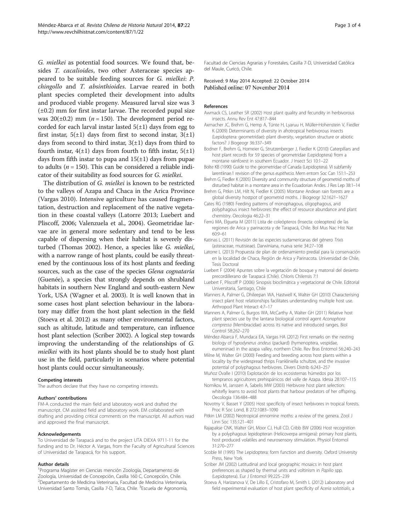<span id="page-2-0"></span>G. mielkei as potential food sources. We found that, besides T. cacalioides, two other Asteraceae species appeared to be suitable feeding sources for G. mielkei: P. chingollo and T. absinthioides. Larvae reared in both plant species completed their development into adults and produced viable progeny. Measured larval size was 3  $(\pm 0.2)$  mm for first instar larvae. The recorded pupal size was  $20(\pm 0.2)$  mm (*n* = 150). The development period recorded for each larval instar lasted  $5(\pm 1)$  days from egg to first instar,  $5(\pm 1)$  days from first to second instar,  $3(\pm 1)$ days from second to third instar,  $3(\pm 1)$  days from third to fourth instar,  $4(\pm 1)$  days from fourth to fifth instar,  $5(\pm 1)$ days from fifth instar to pupa and  $15(\pm 1)$  days from pupae to adults ( $n = 150$ ). This can be considered a reliable indicator of their suitability as food sources for G. mielkei.

The distribution of G. mielkei is known to be restricted to the valleys of Azapa and Chaca in the Arica Province (Vargas [2010](#page-3-0)). Intensive agriculture has caused fragmentation, destruction and replacement of the native vegetation in these coastal valleys (Latorre 2013; Luebert and Pliscoff, 2006; Valenzuela et al., [2004](#page-3-0)). Geometridae larvae are in general more sedentary and tend to be less capable of dispersing when their habitat is severely disturbed (Thomas [2002\)](#page-3-0). Hence, a species like G. mielkei, with a narrow range of host plants, could be easily threatened by the continuous loss of its host plants and feeding sources, such as the case of the species Glena cognataria (Guenée), a species that strongly depends on shrubland habitats in southern New England and south-eastern New York, USA (Wagner et al. [2003](#page-3-0)). It is well known that in some cases host plant selection behaviour in the laboratory may differ from the host plant selection in the field (Stoeva et al. 2012) as many other environmental factors, such as altitude, latitude and temperature, can influence host plant selection (Scriber 2002). A logical step towards improving the understanding of the relationships of G. mielkei with its host plants should be to study host plant use in the field, particularly in scenarios where potential host plants could occur simultaneously.

#### Competing interests

The authors declare that they have no competing interests.

#### Authors' contributions

FM-A conducted the main field and laboratory work and drafted the manuscript. CM assisted field and laboratory work. EM collaborated with drafting and providing critical comments on the manuscript. All authors read and approved the final manuscript.

#### Acknowledgements

To Universidad de Tarapacá and to the project UTA DIEXA 9711-11 for the funding and to Dr. Héctor A. Vargas, from the Faculty of Agricultural Sciences of Universidad de Tarapacá, for his support.

#### Author details

1 Programa Magíster en Ciencias mención Zoología, Departamento de Zoología, Universidad de Concepción, Casilla 160 C, Concepción, Chile. 2 Departamento de Medicina Veterinaria, Facultad de Medicina Veterinaria, Universidad Santo Tomás, Casilla 7-D, Talca, Chile. <sup>3</sup>Escuela de Agronomía,

Facultad de Ciencias Agrarias y Forestales, Casilla 7-D, Universidad Católica del Maule, Curicó, Chile.

#### Received: 9 May 2014 Accepted: 22 October 2014 Published online: 07 November 2014

#### References

- Awmack CS, Leather SR (2002) Host plant quality and fecundity in herbivorous insects. Annu Rev Ent 47:817–844
- Axmacher JC, Brehm G, Hemp A, Tünte H, Lyaruu H, Müller-Hohenstein V, Fiedler K (2009) Determinants of diversity in afrotropical herbivorous insects (Lepidoptera: geometridae): plant diversity, vegetation structure or abiotic factors? J Biogeogr 36:337–349
- Bodner F, Brehm G, Homeier G, Strutzenberger J, Fiedler K (2010) Caterpillars and host plant records for 59 species of geometridae (Lepidoptera) from a montane rainforest in southern Ecuador. J Insect Sci 10:1–22
- Bolte KB (1990) Guide to the geometridae of Canada (Lepidoptera). VI subfamily larentiinae.1 revision of the genus eupithecia. Mem entom Soc Can 151:1–253
- Brehm G, Fiedler K (2005) Diversity and community structure of geometrid moths of disturbed habitat in a montane area in the Ecuadorian Andes. J Res Lep 38:1–14
- Brehm G, Pitkin LM, Hilt N, Fiedler K (2005) Montane Andean rain forests are a global diversity hostpot of geometrid moths. J Biogeogr 32:1621–1627
- Cates RG (1980) Feeding patterns of monophagous, oligophagous, and polyphagous insect herbivores: the effect of resource abundance and plant chemistry. Oecologia 46:22–31
- Ferrú MA, Elgueta M (2011) Lista de coleópteros (Insecta: coleoptera) de las regiones de Arica y parinacota y de Tarapacá, Chile. Bol Mus Nac Hist Nat 60:9–61
- Katinas L (2011) Revisión de las especies sudamericanas del género Trixis (asteraceae, mutisieae). Darwiniana, nueva serie 34:27–108
- Latorre L (2013) Propuesta de plan de ordenamiento predial para la conservación en la localidad de Chaca, Región de Arica y Parinacota. Universidad de Chile, Tesis Doctoral
- Luebert F (2004) Apuntes sobre la vegetación de bosque y matorral del desierto precordillerano de Tarapacá (Chile). Chloris Chilensis 7:1
- Luebert F, Pliscoff P (2006) Sinopsis bioclimática y vegetacional de Chile. Editorial Universitaria, Santiago, Chile
- Manners A, Palmer G, Dhileepan WA, Hastwell K, Walter GH (2010) Characterising insect plant host relationships facilitates understanding multiple host use. Arthropod Plant Interact 4:7–17
- Manners A, Palmer G, Burgos WA, McCarthy A, Walter GH (2011) Relative host plant species use by the lantana biological control agent Aconophora compressa (Membracidae) across its native and introduced ranges. Biol Control 58:262–270
- Méndez-Abarca F, Mundaca EA, Vargas HA (2012) First remarks on the nesting biology of hypodynerus andeus (packard) (hymenoptera, vespidae, eumeninae) in the azapa valley, northern Chile. Rev Bras Entomol 56:240–243
- Milne M, Walter GH (2000) Feeding and breeding across host plants within a locality by the widespread thrips Frankliniella schultzei, and the invasive potential of polyphagous herbivores. Divers Distrib 6:243–257
- Muñoz Ovalle I (2010) Explotación de los ecosistemas húmedos por los tempranos agricultores prehispánicos del valle de Azapa. Idesia 28:107–115
- Nomikou M, Janssen A, Sabelis MW (2003) Herbivore host plant selection: whitefly learns to avoid host plants that harbour predators of her offspring. Oecologia 136:484–488
- Novotny V, Basset Y (2005) Host specificity of insect herbivores in tropical forests. Proc R Soc Lond, B 272:1083–1090
- Pitkin LM (2002) Neotropical ennomine moths: a review of the genera. Zool J Linn Soc 135:121–401
- Rajapakse CNK, Walter GH, Moor CJ, Hull CD, Cribb BW (2006) Host recognition by a polyphagous lepidopteran (Helicoverpa armigera): primary host plants, host produced volatiles and neurosensory stimulation. Physiol Entomol 31:270–277
- Scoble M (1995) The Lepidoptera: form function and diversity. Oxford University Press, New York
- Scriber JM (2002) Latitudinal and local geographic mosaics in host plant preferences as shaped by thermal units and voltinism in Papilio spp. (Lepidoptera). Eur J Entomol 99:225–239
- Stoeva A, Harizanova V, De Lillo E, Cristofaro M, Smith L (2012) Laboratory and field experimental evaluation of host plant specificity of Aceria solstitialis, a